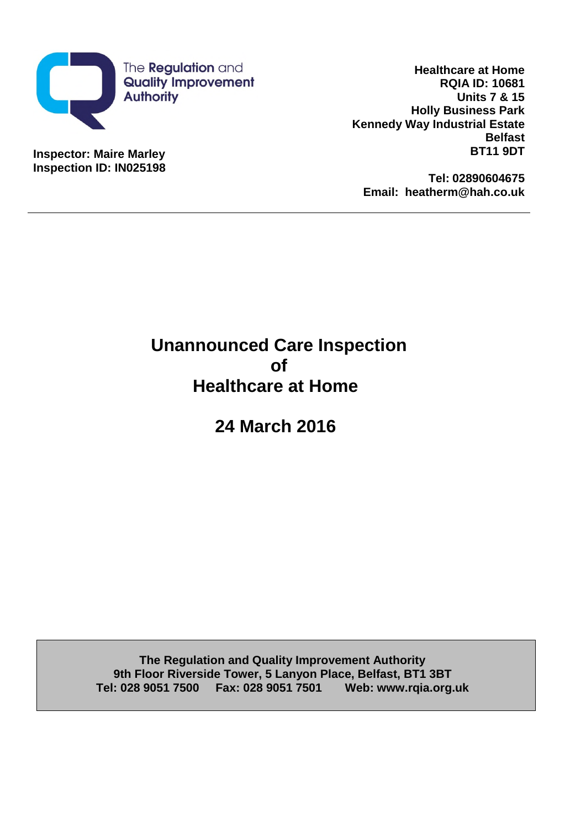

**Inspector: Maire Marley Inspection ID: IN025198**

**Healthcare at Home RQIA ID: 10681 Units 7 & 15 Holly Business Park Kennedy Way Industrial Estate Belfast BT11 9DT**

**Tel: 02890604675 Email: heatherm@hah.co.uk**

# **Unannounced Care Inspection of Healthcare at Home**

**24 March 2016**

**The Regulation and Quality Improvement Authority 9th Floor Riverside Tower, 5 Lanyon Place, Belfast, BT1 3BT Tel: 028 9051 7500 Fax: 028 9051 7501 Web: www.rqia.org.uk**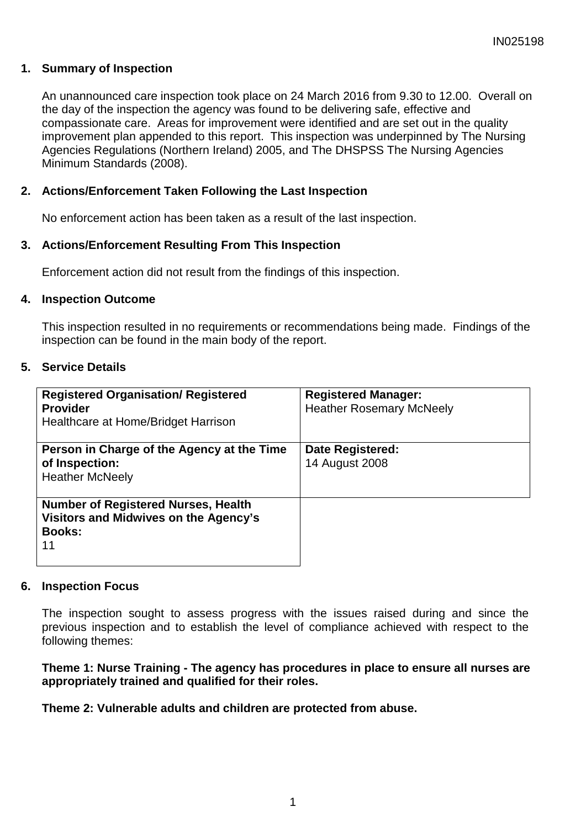# **1. Summary of Inspection**

An unannounced care inspection took place on 24 March 2016 from 9.30 to 12.00. Overall on the day of the inspection the agency was found to be delivering safe, effective and compassionate care. Areas for improvement were identified and are set out in the quality improvement plan appended to this report. This inspection was underpinned by The Nursing Agencies Regulations (Northern Ireland) 2005, and The DHSPSS The Nursing Agencies Minimum Standards (2008).

## **2. Actions/Enforcement Taken Following the Last Inspection**

No enforcement action has been taken as a result of the last inspection.

## **3. Actions/Enforcement Resulting From This Inspection**

Enforcement action did not result from the findings of this inspection.

#### **4. Inspection Outcome**

This inspection resulted in no requirements or recommendations being made. Findings of the inspection can be found in the main body of the report.

#### **5. Service Details**

| <b>Registered Organisation/ Registered</b><br><b>Provider</b><br>Healthcare at Home/Bridget Harrison       | <b>Registered Manager:</b><br><b>Heather Rosemary McNeely</b> |
|------------------------------------------------------------------------------------------------------------|---------------------------------------------------------------|
| Person in Charge of the Agency at the Time<br>of Inspection:<br><b>Heather McNeely</b>                     | <b>Date Registered:</b><br>14 August 2008                     |
| <b>Number of Registered Nurses, Health</b><br>Visitors and Midwives on the Agency's<br><b>Books:</b><br>11 |                                                               |

#### **6. Inspection Focus**

The inspection sought to assess progress with the issues raised during and since the previous inspection and to establish the level of compliance achieved with respect to the following themes:

## **Theme 1: Nurse Training - The agency has procedures in place to ensure all nurses are appropriately trained and qualified for their roles.**

## **Theme 2: Vulnerable adults and children are protected from abuse.**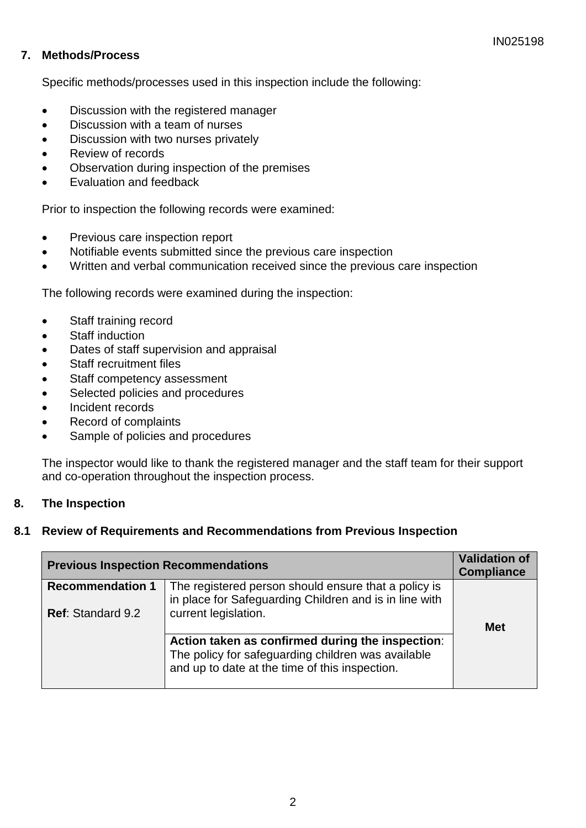# **7. Methods/Process**

Specific methods/processes used in this inspection include the following:

- Discussion with the registered manager
- Discussion with a team of nurses
- Discussion with two nurses privately
- Review of records
- Observation during inspection of the premises
- Evaluation and feedback

Prior to inspection the following records were examined:

- Previous care inspection report
- Notifiable events submitted since the previous care inspection
- Written and verbal communication received since the previous care inspection

The following records were examined during the inspection:

- Staff training record
- Staff induction
- Dates of staff supervision and appraisal
- Staff recruitment files
- Staff competency assessment
- Selected policies and procedures
- Incident records
- Record of complaints
- Sample of policies and procedures

The inspector would like to thank the registered manager and the staff team for their support and co-operation throughout the inspection process.

## **8. The Inspection**

## **8.1 Review of Requirements and Recommendations from Previous Inspection**

| <b>Previous Inspection Recommendations</b> |                                                                                                                                                          | <b>Validation of</b><br><b>Compliance</b> |
|--------------------------------------------|----------------------------------------------------------------------------------------------------------------------------------------------------------|-------------------------------------------|
| <b>Recommendation 1</b>                    | The registered person should ensure that a policy is<br>in place for Safeguarding Children and is in line with                                           |                                           |
| <b>Ref: Standard 9.2</b>                   | current legislation.                                                                                                                                     |                                           |
|                                            |                                                                                                                                                          | <b>Met</b>                                |
|                                            | Action taken as confirmed during the inspection:<br>The policy for safeguarding children was available<br>and up to date at the time of this inspection. |                                           |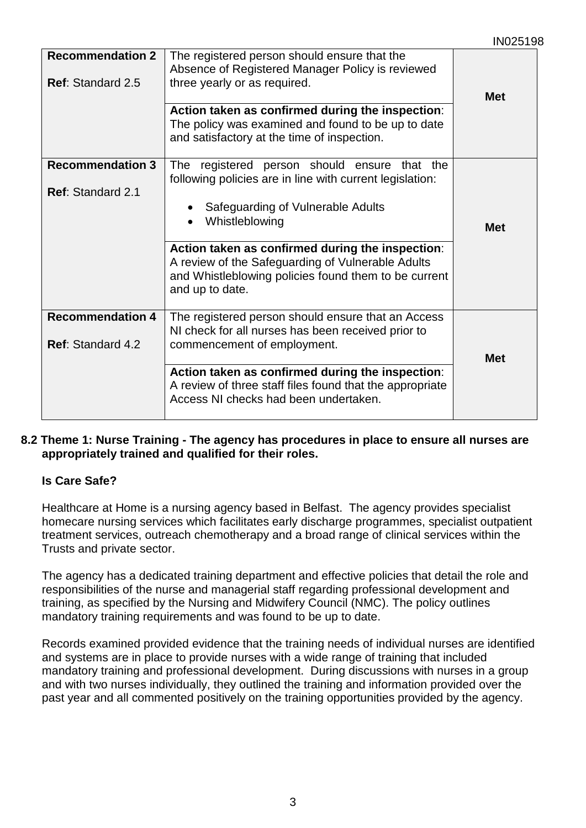|                                                     |                                                                                                                                                                                                                                                                                                                                                                  | <b>INUZ519</b> |
|-----------------------------------------------------|------------------------------------------------------------------------------------------------------------------------------------------------------------------------------------------------------------------------------------------------------------------------------------------------------------------------------------------------------------------|----------------|
| <b>Recommendation 2</b><br><b>Ref: Standard 2.5</b> | The registered person should ensure that the<br>Absence of Registered Manager Policy is reviewed<br>three yearly or as required.<br>Action taken as confirmed during the inspection:<br>The policy was examined and found to be up to date<br>and satisfactory at the time of inspection.                                                                        | <b>Met</b>     |
| <b>Recommendation 3</b><br><b>Ref: Standard 2.1</b> | The registered person should ensure that the<br>following policies are in line with current legislation:<br>Safeguarding of Vulnerable Adults<br>Whistleblowing<br>$\bullet$<br>Action taken as confirmed during the inspection:<br>A review of the Safeguarding of Vulnerable Adults<br>and Whistleblowing policies found them to be current<br>and up to date. | <b>Met</b>     |
| <b>Recommendation 4</b><br>Ref: Standard 4.2        | The registered person should ensure that an Access<br>NI check for all nurses has been received prior to<br>commencement of employment.<br>Action taken as confirmed during the inspection:<br>A review of three staff files found that the appropriate<br>Access NI checks had been undertaken.                                                                 | <b>Met</b>     |

## **8.2 Theme 1: Nurse Training - The agency has procedures in place to ensure all nurses are appropriately trained and qualified for their roles.**

# **Is Care Safe?**

Healthcare at Home is a nursing agency based in Belfast. The agency provides specialist homecare nursing services which facilitates early discharge programmes, specialist outpatient treatment services, outreach chemotherapy and a broad range of clinical services within the Trusts and private sector.

The agency has a dedicated training department and effective policies that detail the role and responsibilities of the nurse and managerial staff regarding professional development and training, as specified by the Nursing and Midwifery Council (NMC). The policy outlines mandatory training requirements and was found to be up to date.

Records examined provided evidence that the training needs of individual nurses are identified and systems are in place to provide nurses with a wide range of training that included mandatory training and professional development. During discussions with nurses in a group and with two nurses individually, they outlined the training and information provided over the past year and all commented positively on the training opportunities provided by the agency.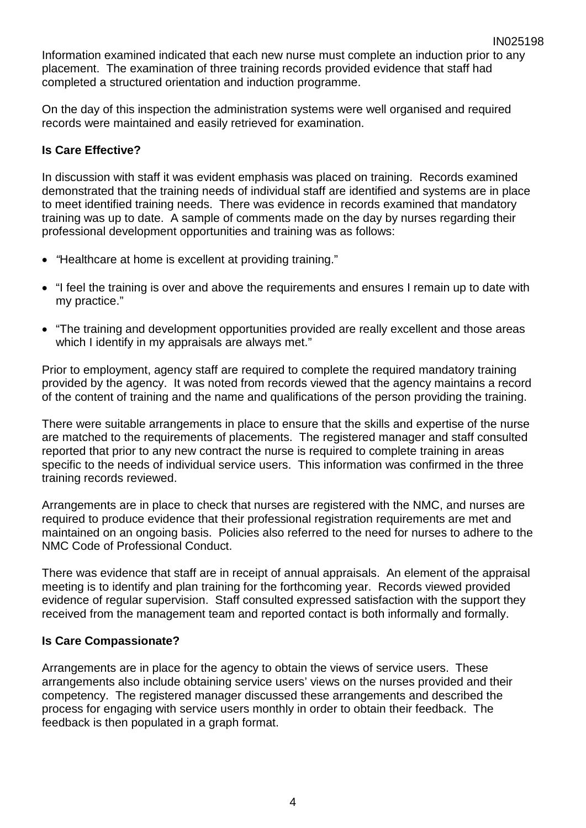Information examined indicated that each new nurse must complete an induction prior to any placement. The examination of three training records provided evidence that staff had completed a structured orientation and induction programme.

On the day of this inspection the administration systems were well organised and required records were maintained and easily retrieved for examination.

## **Is Care Effective?**

In discussion with staff it was evident emphasis was placed on training. Records examined demonstrated that the training needs of individual staff are identified and systems are in place to meet identified training needs. There was evidence in records examined that mandatory training was up to date. A sample of comments made on the day by nurses regarding their professional development opportunities and training was as follows:

- *"*Healthcare at home is excellent at providing training."
- "I feel the training is over and above the requirements and ensures I remain up to date with my practice."
- "The training and development opportunities provided are really excellent and those areas which I identify in my appraisals are always met."

Prior to employment, agency staff are required to complete the required mandatory training provided by the agency. It was noted from records viewed that the agency maintains a record of the content of training and the name and qualifications of the person providing the training.

There were suitable arrangements in place to ensure that the skills and expertise of the nurse are matched to the requirements of placements. The registered manager and staff consulted reported that prior to any new contract the nurse is required to complete training in areas specific to the needs of individual service users. This information was confirmed in the three training records reviewed.

Arrangements are in place to check that nurses are registered with the NMC, and nurses are required to produce evidence that their professional registration requirements are met and maintained on an ongoing basis. Policies also referred to the need for nurses to adhere to the NMC Code of Professional Conduct.

There was evidence that staff are in receipt of annual appraisals. An element of the appraisal meeting is to identify and plan training for the forthcoming year. Records viewed provided evidence of regular supervision. Staff consulted expressed satisfaction with the support they received from the management team and reported contact is both informally and formally.

## **Is Care Compassionate?**

Arrangements are in place for the agency to obtain the views of service users. These arrangements also include obtaining service users' views on the nurses provided and their competency. The registered manager discussed these arrangements and described the process for engaging with service users monthly in order to obtain their feedback. The feedback is then populated in a graph format.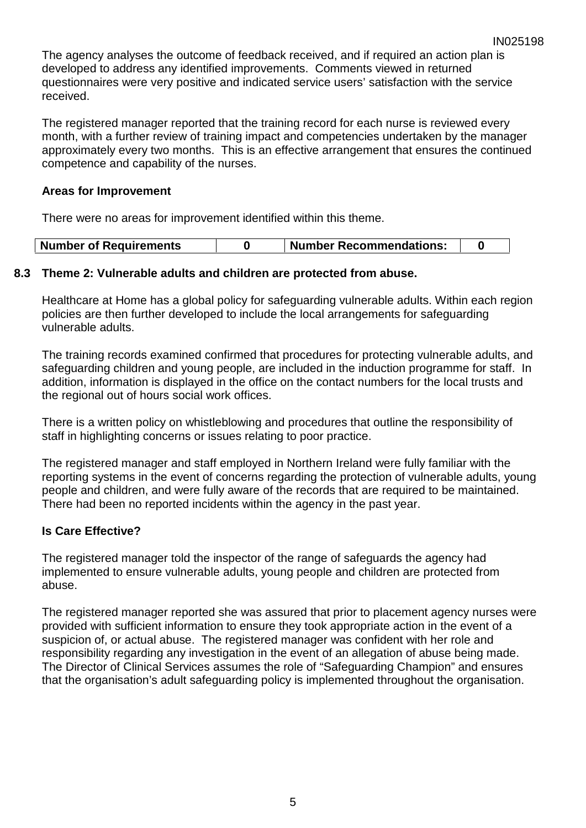The agency analyses the outcome of feedback received, and if required an action plan is developed to address any identified improvements. Comments viewed in returned questionnaires were very positive and indicated service users' satisfaction with the service received.

The registered manager reported that the training record for each nurse is reviewed every month, with a further review of training impact and competencies undertaken by the manager approximately every two months. This is an effective arrangement that ensures the continued competence and capability of the nurses.

## **Areas for Improvement**

There were no areas for improvement identified within this theme.

| <b>Number of Requirements</b> |  | <b>Number Recommendations:</b> |  |
|-------------------------------|--|--------------------------------|--|
|-------------------------------|--|--------------------------------|--|

## **8.3 Theme 2: Vulnerable adults and children are protected from abuse.**

Healthcare at Home has a global policy for safeguarding vulnerable adults. Within each region policies are then further developed to include the local arrangements for safeguarding vulnerable adults.

The training records examined confirmed that procedures for protecting vulnerable adults, and safeguarding children and young people, are included in the induction programme for staff. In addition, information is displayed in the office on the contact numbers for the local trusts and the regional out of hours social work offices.

There is a written policy on whistleblowing and procedures that outline the responsibility of staff in highlighting concerns or issues relating to poor practice.

The registered manager and staff employed in Northern Ireland were fully familiar with the reporting systems in the event of concerns regarding the protection of vulnerable adults, young people and children, and were fully aware of the records that are required to be maintained. There had been no reported incidents within the agency in the past year.

# **Is Care Effective?**

The registered manager told the inspector of the range of safeguards the agency had implemented to ensure vulnerable adults, young people and children are protected from abuse.

The registered manager reported she was assured that prior to placement agency nurses were provided with sufficient information to ensure they took appropriate action in the event of a suspicion of, or actual abuse. The registered manager was confident with her role and responsibility regarding any investigation in the event of an allegation of abuse being made. The Director of Clinical Services assumes the role of "Safeguarding Champion" and ensures that the organisation's adult safeguarding policy is implemented throughout the organisation.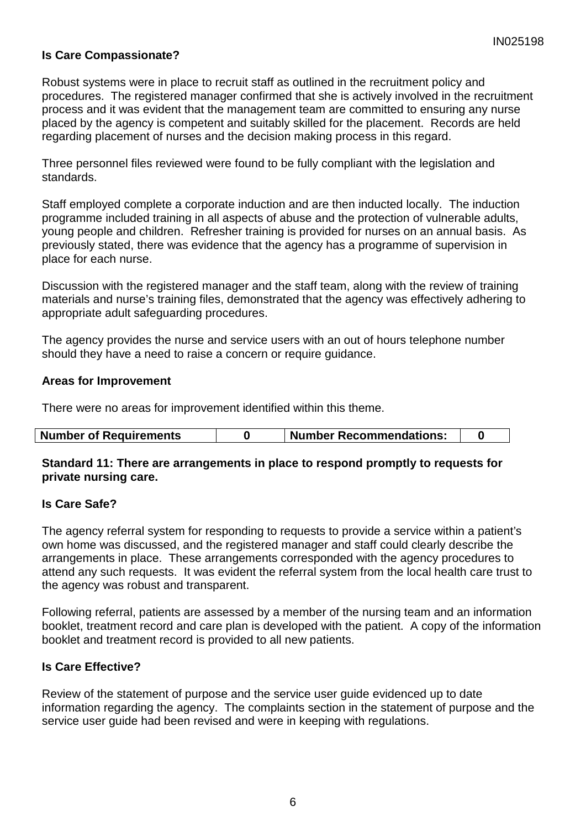# **Is Care Compassionate?**

Robust systems were in place to recruit staff as outlined in the recruitment policy and procedures. The registered manager confirmed that she is actively involved in the recruitment process and it was evident that the management team are committed to ensuring any nurse placed by the agency is competent and suitably skilled for the placement. Records are held regarding placement of nurses and the decision making process in this regard.

Three personnel files reviewed were found to be fully compliant with the legislation and standards.

Staff employed complete a corporate induction and are then inducted locally. The induction programme included training in all aspects of abuse and the protection of vulnerable adults, young people and children. Refresher training is provided for nurses on an annual basis. As previously stated, there was evidence that the agency has a programme of supervision in place for each nurse.

Discussion with the registered manager and the staff team, along with the review of training materials and nurse's training files, demonstrated that the agency was effectively adhering to appropriate adult safeguarding procedures.

The agency provides the nurse and service users with an out of hours telephone number should they have a need to raise a concern or require guidance.

#### **Areas for Improvement**

There were no areas for improvement identified within this theme.

| <b>Number of Requirements</b> | Number Recommendations: |
|-------------------------------|-------------------------|
|-------------------------------|-------------------------|

#### **Standard 11: There are arrangements in place to respond promptly to requests for private nursing care.**

## **Is Care Safe?**

The agency referral system for responding to requests to provide a service within a patient's own home was discussed, and the registered manager and staff could clearly describe the arrangements in place. These arrangements corresponded with the agency procedures to attend any such requests. It was evident the referral system from the local health care trust to the agency was robust and transparent.

Following referral, patients are assessed by a member of the nursing team and an information booklet, treatment record and care plan is developed with the patient. A copy of the information booklet and treatment record is provided to all new patients.

## **Is Care Effective?**

Review of the statement of purpose and the service user guide evidenced up to date information regarding the agency. The complaints section in the statement of purpose and the service user guide had been revised and were in keeping with regulations.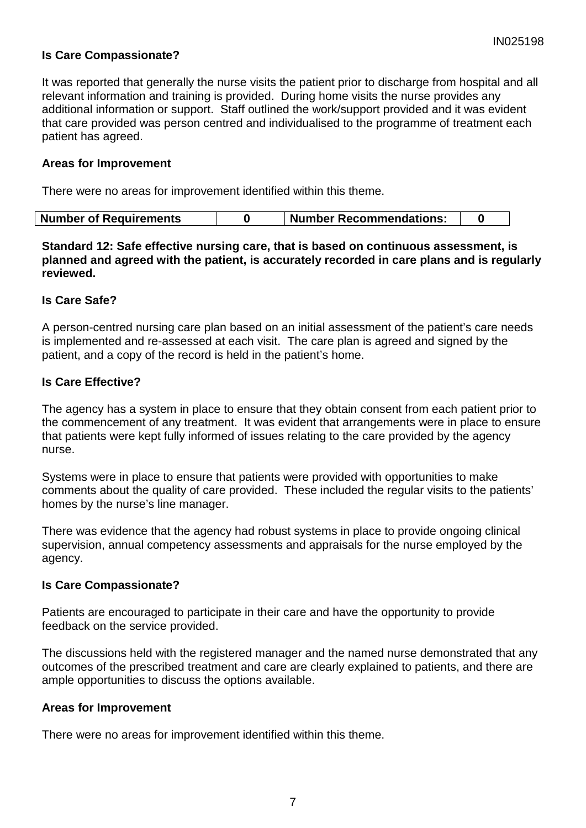# **Is Care Compassionate?**

It was reported that generally the nurse visits the patient prior to discharge from hospital and all relevant information and training is provided. During home visits the nurse provides any additional information or support. Staff outlined the work/support provided and it was evident that care provided was person centred and individualised to the programme of treatment each patient has agreed.

#### **Areas for Improvement**

There were no areas for improvement identified within this theme.

| <b>Number of Requirements</b><br>  Number Recommendations: |  |  |  |  |
|------------------------------------------------------------|--|--|--|--|
|------------------------------------------------------------|--|--|--|--|

**Standard 12: Safe effective nursing care, that is based on continuous assessment, is planned and agreed with the patient, is accurately recorded in care plans and is regularly reviewed.**

## **Is Care Safe?**

A person-centred nursing care plan based on an initial assessment of the patient's care needs is implemented and re-assessed at each visit. The care plan is agreed and signed by the patient, and a copy of the record is held in the patient's home.

## **Is Care Effective?**

The agency has a system in place to ensure that they obtain consent from each patient prior to the commencement of any treatment. It was evident that arrangements were in place to ensure that patients were kept fully informed of issues relating to the care provided by the agency nurse.

Systems were in place to ensure that patients were provided with opportunities to make comments about the quality of care provided. These included the regular visits to the patients' homes by the nurse's line manager.

There was evidence that the agency had robust systems in place to provide ongoing clinical supervision, annual competency assessments and appraisals for the nurse employed by the agency.

## **Is Care Compassionate?**

Patients are encouraged to participate in their care and have the opportunity to provide feedback on the service provided.

The discussions held with the registered manager and the named nurse demonstrated that any outcomes of the prescribed treatment and care are clearly explained to patients, and there are ample opportunities to discuss the options available.

## **Areas for Improvement**

There were no areas for improvement identified within this theme.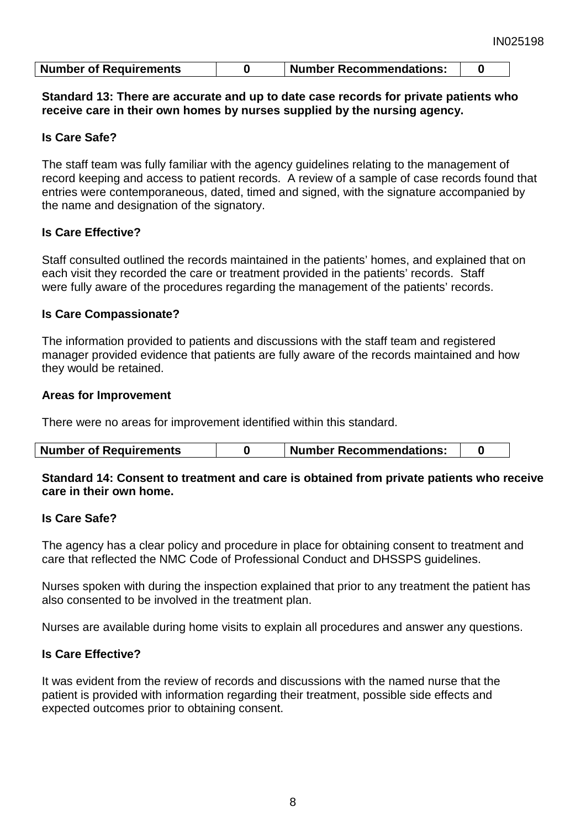| Number of Requirements |  | <b>Number Recommendations:</b> |  |
|------------------------|--|--------------------------------|--|
|------------------------|--|--------------------------------|--|

#### **Standard 13: There are accurate and up to date case records for private patients who receive care in their own homes by nurses supplied by the nursing agency.**

# **Is Care Safe?**

The staff team was fully familiar with the agency guidelines relating to the management of record keeping and access to patient records. A review of a sample of case records found that entries were contemporaneous, dated, timed and signed, with the signature accompanied by the name and designation of the signatory.

# **Is Care Effective?**

Staff consulted outlined the records maintained in the patients' homes, and explained that on each visit they recorded the care or treatment provided in the patients' records. Staff were fully aware of the procedures regarding the management of the patients' records.

## **Is Care Compassionate?**

The information provided to patients and discussions with the staff team and registered manager provided evidence that patients are fully aware of the records maintained and how they would be retained.

## **Areas for Improvement**

There were no areas for improvement identified within this standard.

| <b>Number Recommendations:</b><br><b>Number of Requirements</b> |
|-----------------------------------------------------------------|
|-----------------------------------------------------------------|

## **Standard 14: Consent to treatment and care is obtained from private patients who receive care in their own home.**

## **Is Care Safe?**

The agency has a clear policy and procedure in place for obtaining consent to treatment and care that reflected the NMC Code of Professional Conduct and DHSSPS guidelines.

Nurses spoken with during the inspection explained that prior to any treatment the patient has also consented to be involved in the treatment plan.

Nurses are available during home visits to explain all procedures and answer any questions.

## **Is Care Effective?**

It was evident from the review of records and discussions with the named nurse that the patient is provided with information regarding their treatment, possible side effects and expected outcomes prior to obtaining consent.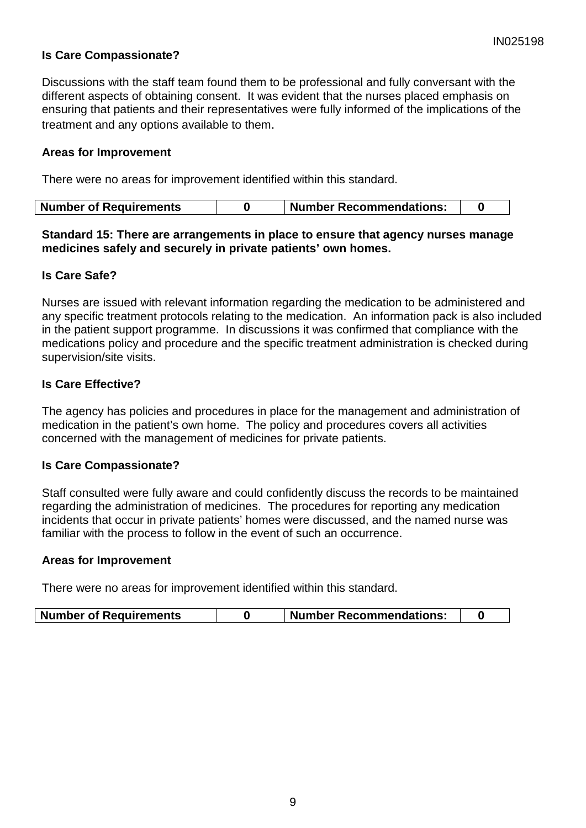# **Is Care Compassionate?**

Discussions with the staff team found them to be professional and fully conversant with the different aspects of obtaining consent. It was evident that the nurses placed emphasis on ensuring that patients and their representatives were fully informed of the implications of the treatment and any options available to them.

#### **Areas for Improvement**

There were no areas for improvement identified within this standard.

#### **Standard 15: There are arrangements in place to ensure that agency nurses manage medicines safely and securely in private patients' own homes.**

#### **Is Care Safe?**

Nurses are issued with relevant information regarding the medication to be administered and any specific treatment protocols relating to the medication. An information pack is also included in the patient support programme. In discussions it was confirmed that compliance with the medications policy and procedure and the specific treatment administration is checked during supervision/site visits.

## **Is Care Effective?**

The agency has policies and procedures in place for the management and administration of medication in the patient's own home. The policy and procedures covers all activities concerned with the management of medicines for private patients.

## **Is Care Compassionate?**

Staff consulted were fully aware and could confidently discuss the records to be maintained regarding the administration of medicines. The procedures for reporting any medication incidents that occur in private patients' homes were discussed, and the named nurse was familiar with the process to follow in the event of such an occurrence.

#### **Areas for Improvement**

There were no areas for improvement identified within this standard.

| <b>Number of Requirements</b> |  | <b>Number Recommendations:</b> |  |
|-------------------------------|--|--------------------------------|--|
|-------------------------------|--|--------------------------------|--|